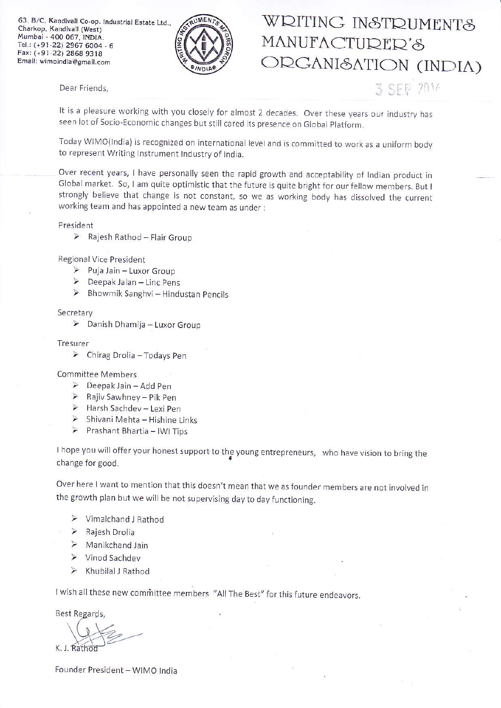63. B/C, Kandivali Co-op. Industrial Estate Ltd., Charkop, Kandivali (West) Mumbai - 400 067, INDIA. Tel.: (+91-22) 2967 6004 - 6 Faxr (+91-22) 2868 9318 Email: wimoindia@gmail.com



### Dear Friends,

# WRITING INSTRUMENTS MANUFACTURER'S ORGANISATION (INDIA)

 $\widehat{\mathbb{P}}$  2014

It is a pleasure working with you closely for almost 2 decades. Over these years our industry has seen lot of Socio-Economic changes bur stili cared jts presence on Global Flatform

Today WIMO(India) is recognized on international level and is committed to work as a uniform body to represent Writing Instrument Industry of India.

Over recent years, I have personally seen the rapid growth and acceptability of Indian product in Global market. So, I am quite optimistic that the future is quite bright for our fellow members. But I strongly belleve that change is not constant, so we as working body has dissolved the current working team and has appointed a new team as under :

President

Regjonal Vice President

- $\triangleright$  Puja Jain Luxor Group
- $\triangleright$  Deepak Jalan Linc Pens
- $\triangleright$  Bhowmik Sanghvi Hindustan Pencils

#### **Secretary**

 $\triangleright$  Danish Dhamija - Luxor Group

#### Tresurer

 $\triangleright$  Chirag Drolia - Todays Pen

Committee Members

- $\geq$  Deepak Jain Add Pen
- $\triangleright$  Rajiv Sawhney Pik Pen
- $\triangleright$  Harsh Sachdev Lexi Pen
- $\triangleright$  Shivani Mehta Hishine Links
- $\triangleright$  Prashant Bhartia IWI Tips

I hope you will offer your honest support to the young entrepreneurs, who have vision to bring the change for good.

Over here I want to mention that this doesn't mean that we as founder members are not involved in the growth plan but we will be not supervising day to day functioning.

- $\triangleright$  Vimalchand J Rathod
- $\triangleright$  Rajesh Drolia
- $\triangleright$  Manikchand Jain
- $\triangleright$  Vinod Sachdev
- $\triangleright$  Khubilal J Rathod

I wish all these new committee members "All The Best" for this future endeavors.

**Best Regards**,

K,

Founder President - WIMO India

 $\triangleright$  Rajesh Rathod - Flair Group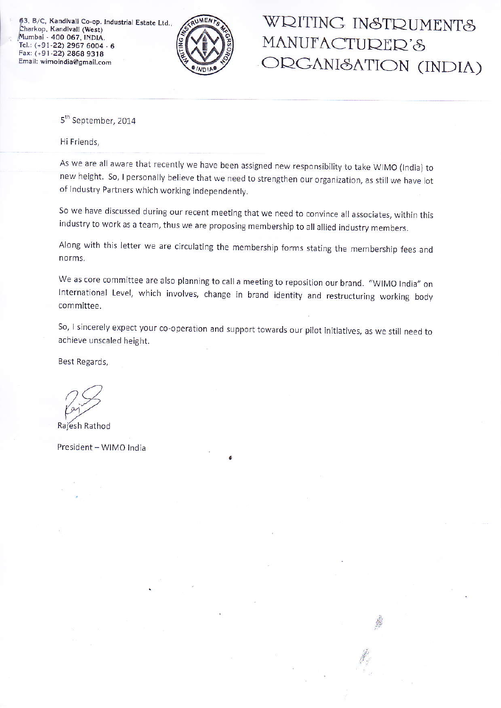63, B/C, Kandivali Co-op. Industrial Estate Ltd., Charkop, Kandivali (West) Mumbai - 400 067, INDIA. Tel.: (+91-22) 2967 6004 - 6 Fax: (+91-22) 2868 9318 Email: wimoindia@gmail.com



## WRITING INSTRUMENTS MANUFACTURER'S ORGANI&ATION (INDIA)

5<sup>th</sup> September, 2014

Hi Friends,

As we are all aware that recently we have been assigned new responsibility to take WIMO (India) to new height. So, I personally believe that we need to strengthen our organization, as still we have lot of lndustry Partners which working independently.

So we have discussed during our recent meeting that we need to convince all associates, within this industry to work as a team, thus we are proposing membership to all allied industry members.

Along with this letter we are circulating the membership forms stating the membership fees and norms.

We as core committee are also planning to call a meeting to reposition our brand. "WIMO India" on lnternational Level, which involves, change in brand identity and restructuring working body committee.

So, I sincerely expect your co-operation and support towards our pilot initiatives, as we still need to achieve unscaled height.

Best Regards,

Rajesh Rathod

President - WIMO India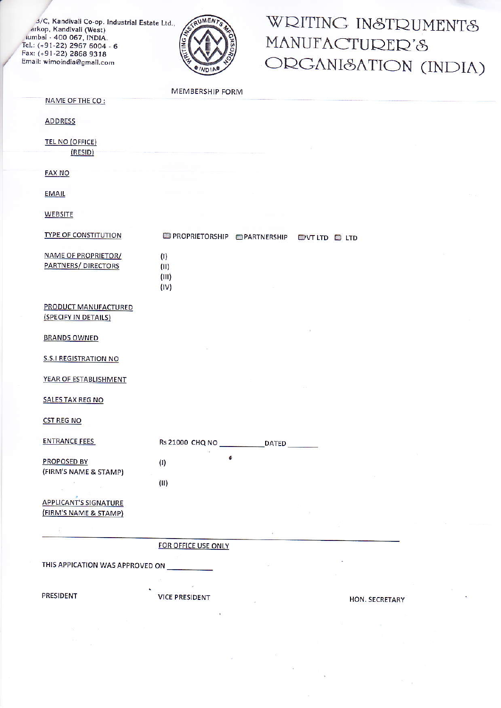3/C, Kandivali Co-op. Industrial Estate Ltd., arkop, Kandivali (West) iumbai - 400 067, INDIA. Tel.: (+91-22) 2967 6004 - 6 Fax: (+91-22) 2868 9318 Email: wimoindia@gmail.com



# WRITING INSTRUMENTS MANUFACTURER'S ORGANI&ATION (INDIA)

MEMBERSHIP FORM

**OPROPRIETORSHIP OPARTNERSHIP OUTLID OLTD** 

NAME OF THE CO:

**ADDRESS** 

**TEL NO (OFFICE)**  $(RESID)$ 

### **FAX NO**

**EMAIL** 

**WEBSITE** 

#### **TYPE OF CONSTITUTION**

| NAME OF PROPRIETOR/        |
|----------------------------|
| <b>PARTNERS/ DIRECTORS</b> |
|                            |
|                            |

PRODUCT MANUFACTURED (SPECIFY IN DETAILS)

**BRANDS OWNED** 

**S.S.I REGISTRATION NO** 

YEAR OF ESTABLISHMENT

**SALES TAX REG NO** 

**CST REG NO** 

| <b>ENTRANCE FEES</b>  | <b>Rs 21000 CHQ NO</b> | <b>DATED</b> |  |
|-----------------------|------------------------|--------------|--|
| <b>PROPOSED BY</b>    | (1)                    |              |  |
| (FIRM'S NAME & STAMP) |                        |              |  |
|                       | (II)                   |              |  |

 $(1)$  $(III)$  $(III)$  $(IV)$ 

**APPLICANT'S SIGNATURE** (FIRM'S NAME & STAMP)

FOR OFFICE USE ONLY

THIS APPICATION WAS APPROVED ON

**PRESIDENT** 

**VICE PRESIDENT** 

**HON. SECRETARY**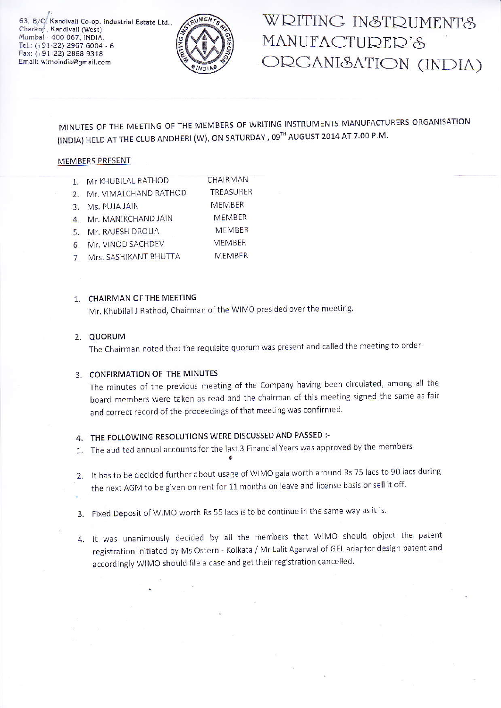63, B/C, Kandivali Co-op. Industrial Estate Ltd., Charkop, Kandivali (West) Mumbai - 400 067, INDIA. Tel.: (+91-22) 2967 6004 - 6 Fax: (+91-22) 2868 9318 Email: wimoindia@gmail.com



## WRITING INSTRUMENTS MANUFACTURER'S ORGANI&ATION (INDIA)

MINUTES OF THE MEETING OF THE MEMBERS OF WRITING INSTRUMENTS MANUFACTURERS ORGANISATION (INDIA) HELD AT THE CLUB ANDHERI (W), ON SATURDAY, 09TH AUGUST 2014 AT 7.00 P.M.

#### MEMBERS PRESENT

- 1. Mr KHUBILAL RATHOD CHAIRMAN
- 2. Mr. VIMALCHAND RATHOD TREASURER
- **MEMBER** 3. Ms. PUJA JAIN
- **MEMBER** 4. Mr. MANIKCHAND JAIN
- MEMBER 5. Mr. RAJESH DROLIA
- MEMBER 6. Mr. VINOD SACHDEV
- 7. Mrs. SASHIKANT BHUTTA **MEMBER**

### 1. CHAIRMAN OF THE MEETING

Mr. Khubilal J Rathod, Chairman of the WIMO presided over the meeting.

### 2. QUORUM

The Chairman noted that the requisite quorum was present and called the meeting to order

### 3. CONFIRMATION OF THE MINUTES

The minutes of the previous meeting of the Company having been circulated, among all the board members were taken as read and the chairman of this meeting signed the same as fair and correct record of the proceedings of that meeting was confirmed.

### 4. THE FOLLOWING RESOLUTIONS WERE DISCUSSED AND PASSED :-

- 1. The audited annual accounts for the last 3 Financial Years was approved by the members
- 2. It has to be decided further about usage of WIMO gala worth around Rs 75 lacs to 90 lacs during the next AGM to be given on rent for 11 months on leave and license basis or sell it off.
- 3. Fixed Deposit of WIMO worth Rs 55 lacs is to be continue in the same way as it is.
- 4. It was unanimously decided by all the members that WIMO should object the patent registration initiated by Ms Ostern - Kolkata / Mr Lalit Agarwal of GEL adaptor design patent and accordingly WIMO should file a case and get their registration cancelled.